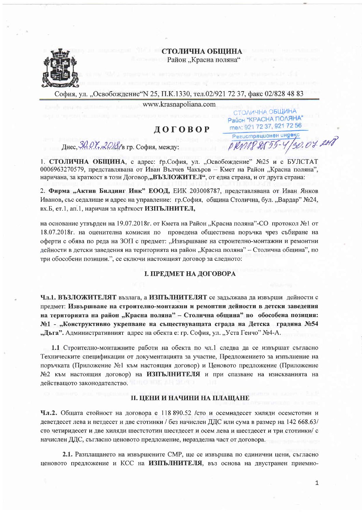#### СТОЛИЧНА ОБШИНА Район "Красна поляна"



София, ул. "Освобождение"N 25, П.К.1330, тел.02/921 72 37, факс 02/828 48 83

www.krasnapoliana.com

# ДОГОВОР

Днес,  $30.07.2018$ /в гр. София, между:

Район "КРАСНА ПОЛЯНА" men: 921 72 37, 921 72 56 Регистрационен индекс 30.07.2018 DRMP8555

СТОЛИЧНА ОБЩИНА

1. СТОЛИЧНА ОБЩИНА, с адрес: гр.София, ул. "Освобождение" №25 и с БУЛСТАТ 0006963270579, представлявана от Иван Вълчев Чакъров - Кмет на Район "Красна поляна", наричана, за краткост в този Договор,, ВЪЗЛОЖИТЕЛ", от една страна, и от друга страна:

2. Фирма "Актив Билдинг Инк" ЕООД, ЕИК 203008787, представлявана от Иван Янков Иванов, със седалище и адрес на управление: гр.София, община Столична, бул. "Вардар" №24, вх.Б, ет.1, ап.1, наричан за краткост ИЗПЪЛНИТЕЛ,

на основание утвърден на 19.07.2018г. от Кмета на Район "Красна поляна"-СО протокол №1 от 18.07.2018 г. на оценителна комисия по проведена обществена поръчка чрез събиране на оферти с обява по реда на ЗОП с предмет: "Извършване на строително-монтажни и ремонтни дейности в детски заведения на територията на район "Красна поляна" – Столична община", по три обособени позиции.", се сключи настоящият договор за следното:

### І. ПРЕДМЕТ НА ДОГОВОРА

Чл.1. ВЪЗЛОЖИТЕЛЯТ възлага, а ИЗПЪЛНИТЕЛЯТ се задължава да извърши дейности с предмет: Извършване на строително-монтажни и ремонтни дейности в детски заведения на територията на район "Красна поляна" - Столична община" по обособена позиция: №1 - "Конструктивно укрепване на съществуващата сграда на Детска градина №54 "Дъга". Административният адрес на обекта е: гр. София, ул. "Уста Генчо" №4-А.

1.1 Строително-монтажните работи на обекта по чл.1 следва да се извършат съгласно Техническите спецификации от документацията за участие, Предложението за изпълнение на поръчката (Приложение №1 към настоящия договор) и Ценовото предложение (Приложение №2 към настоящия договор) на ИЗПЪЛНИТЕЛЯ и при спазване на изискванията на действащото законодателство.

#### **II. ЦЕНИ И НАЧИНИ НА ПЛАЩАНЕ**

Чл.2. Общата стойност на договора е 118 890.52 / сто и осемнадесет хиляди осемстотин и деветдесет лева и петдесет и две стотинки / без начислен ДДС или сума в размер на 142 668.63/ сто четиридесет и две хиляди шестстотин шестдесет и осем лева и шестдесет и три стотинки/ с начислен ДДС, съгласно ценовото предложение, неразделна част от договора.

2.1. Разплащането на извършените СМР, ще се извършва по единични цени, съгласно ценовото предложение и КСС на ИЗПЪЛНИТЕЛЯ, въз основа на двустранен приемно-

 $\mathbf{1}$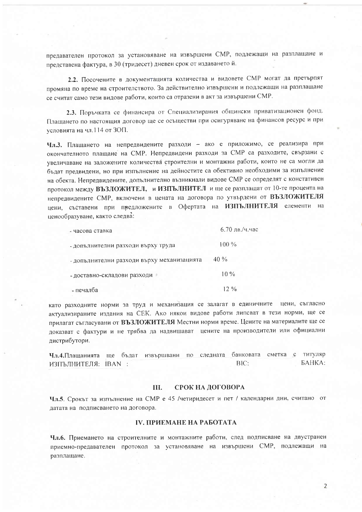предавателен протокол за установяване на извършени СМР, подлежащи на разплащане и представена фактура, в 30 (тридесет) дневен срок от издаването й.

2.2. Посочените в документацията количества и видовете СМР могат да претърпят промяна по време на строителството. За действително извършени и подлежащи на разплащане се считат само тези видове работи, които са отразени в акт за извършени СМР.

2.3. Поръчката се финансира от Специализирания общински приватизационен фонд. Плащането по настоящия договор ще се осъществи при осигуряване на финансов ресурс и при условията на чл.114 от ЗОП.

Чл.3. Плащането на непредвидените разходи - ако е приложимо, се реализира при окончателното плащане на СМР. Непредвидени разходи за СМР са разходите, свързани с увеличаване на заложените количества строителни и монтажни работи, които не са могли да бъдат предвидени, но при изпълнение на дейностите са обективно необходими за изпълнение на обекта. Непредвидените, допълнително възникнали видове СМР се определят с констативен протокол между ВЪЗЛОЖИТЕЛ, и ИЗПЪЛНИТЕЛ и ще се разплащат от 10-те процента на непредвидените СМР, включени в цената на договора по утвърдени от ВЪЗЛОЖИТЕЛЯ цени, съставени при предложените в Офертата на ИЗПЪЛНИТЕЛЯ елементи на ценообразуване, както следва:

| - часова ставка                            | $6.70$ лв./ч.час |
|--------------------------------------------|------------------|
| - допълнителни разходи върху труда         | $100\%$          |
| - допълнителни разходи върху механизацията | $40\%$           |
| - доставно-складови разходи                | $10\%$           |
| - печалба                                  | $12\%$           |

като разходните норми за труд и механизация се залагат в единичните цени, съгласно актуализираните издания на СЕК. Ако някои видове работи липсват в тези норми, ще се прилагат съгласувани от ВЪЗЛОЖИТЕЛЯ Местни норми време. Цените на материалите ще се доказват с фактури и не трябва да надвишават цените на производители или официални дистрибутори.

Чл.4. Плащанията ще бъдат извършвани по следната банковата сметка с титуляр **GAHKA:** BIC: ИЗПЪЛНИТЕЛЯ: IBAN :

#### III. СРОК НА ДОГОВОРА

Чл.5. Срокът за изпълнение на СМР е 45 /четиридесет и пет / календарни дни, считано от датата на подписването на договора.

### **IV. ПРИЕМАНЕ НА РАБОТАТА**

Чл.6. Приемането на строителните и монтажните работи, след подписване на двустранен приемно-предавателен протокол за установяване на извършени СМР, подлежащи на разплащане.

 $\overline{2}$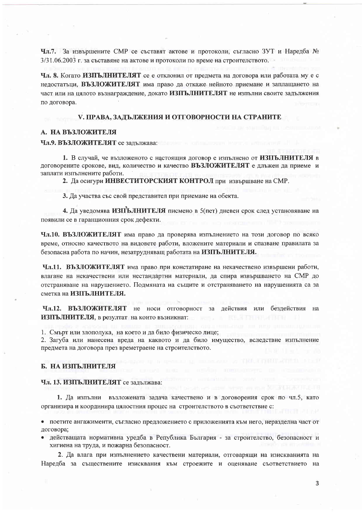Чл.7. За извършените СМР се съставят актове и протоколи, съгласно ЗУТ и Наредба № 3/31.06.2003 г. за съставяне на актове и протоколи по време на строителството.

Чл. 8. Когато ИЗПЪЛНИТЕЛЯТ се е отклонил от предмета на договора или работата му е с недостатьци, ВЪЗЛОЖИТЕЛЯТ има право да откаже нейното приемане и заплащането на част или на цялото възнаграждение, докато ИЗПЪЛНИТЕЛЯТ не изпълни своите задължения по договора.

#### V. ПРАВА, ЗАДЪЛЖЕНИЯ И ОТГОВОРНОСТИ НА СТРАНИТЕ

#### А. НА ВЪЗЛОЖИТЕЛЯ

#### Чл.9. ВЪЗЛОЖИТЕЛЯТ се задължава:

1. В случай, че възложеното с настоящия договор е изпълнено от ИЗПЪЛНИТЕЛЯ в договорените срокове, вид, количество и качество ВЪЗЛОЖИТЕЛЯТ е длъжен да приеме и заплати изпълнените работи.

2. Да осигури ИНВЕСТИТОРСКИЯТ КОНТРОЛ при извършване на СМР.

3. Да участва със свой представител при приемане на обекта.

4. Да уведомява ИЗПЪЛНИТЕЛЯ писмено в 5(пет) дневен срок след установяване на появили се в гаранционния срок дефекти.

Чл.10. ВЪЗЛОЖИТЕЛЯТ има право да проверява изпълнението на този договор по всяко време, относно качеството на видовете работи, вложените материали и спазване правилата за безопасна работа по начин, незатрудняващ работата на ИЗПЪЛНИТЕЛЯ.

Чл.11. ВЪЗЛОЖИТЕЛЯТ има право при констатиране на некачествено извършени работи, влагане на некачествени или нестандартни материали, да спира извършването на СМР до отстраняване на нарушението. Подмяната на същите и отстраняването на нарушенията са за сметка на ИЗПЪЛНИТЕЛЯ.

Чл.12. ВЪЗЛОЖИТЕЛЯТ не носи отговорност за действия или бездействия на ИЗПЪЛНИТЕЛЯ, в резултат на които възникнат:

1. Смърт или злополука, на което и да било физическо лице;

2. Загуба или нанесена вреда на каквото и да било имущество, вследствие изпълнение предмета на договора през времетраене на строителството.

#### Б. НА ИЗПЪЛНИТЕЛЯ

#### Чл. 13. ИЗПЪЛНИТЕЛЯТ се задължава:

1. Да изпълни възложената задача качествено и в договорения срок по чл.5, като организира и координира цялостния процес на строителството в съответствие с:

поетите ангажименти, съгласно предложението с приложенията към него, неразделна част от договора;

• действащата нормативна уредба в Република България - за строителство, безопасност и хигиена на труда, и пожарна безопасност.

2. Да влага при изпълнението качествени материали, отговарящи на изискванията на Наредба за съществените изисквания към строежите и оценяване съответствието на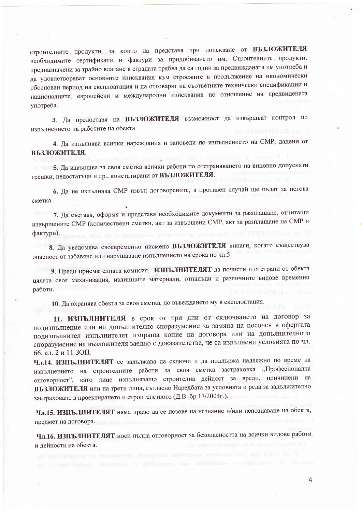строителните продукти, за които да представя при поискване от ВЪЗЛОЖИТЕЛЯ необходимите сертификати и фактури за придобиването им. Строителните продукти, предназначени за трайно влагане в сградата трябва да са годни за предвижданата им употреба и да удовлетворяват основните изисквания към строежите в продължение на икономически обоснован период на експлоатация и да отговарят на съответните технически спецификации и националните, европейски и международни изисквания по отношение на предвидената употреба.

3. Да предоставя на ВЪЗЛОЖИТЕЛЯ възможност да извършват контрол по изпълнението на работите на обекта.

4. Да изпълнява всички нареждания и заповеди по изпълнението на СМР, дадени от **ВЪЗЛОЖИТЕЛЯ.** 

5. Да извършва за своя сметка всички работи по отстраняването на виновно допуснати грешки, недостатьци и др., констатирани от ВЪЗЛОЖИТЕЛЯ.

6. Да не изпълнява СМР извън договорените, в противен случай ще бъдат за негова сметка.

7. Да съставя, оформя и представя необходимите документи за разплащане, отчитащи извършените СМР (количествени сметки, акт за извършени СМР, акт за разплащане на СМР и фактури).

8. Да уведомява своевременно писмено ВЪЗЛОЖИТЕЛЯ винаги, когато съществува опасност от забавяне или нарушаване изпълнението на срока по чл.5.

9. Преди приемателната комисия, ИЗПЪЛНИТЕЛЯТ да почисти и отстрани от обекта цялата своя механизация, излишните материали, отпадъци и различните видове временни работи.

10. Да охранява обекта за своя сметка, до въвеждането му в експлоатация.

11. ИЗПЪЛНИТЕЛЯ в срок от три дни от сключването на договор за подизпълнение или на допълнително споразумение за замяна на посочен в офертата подизпълнител изпълнителят изпраща копие на договора или на допълнителното споразумение на възложителя заедно с доказателства, че са изпълнени условията по чл. 66. ал. 2 и 11 ЗОП.

Чл.14. ИЗПЪЛНИТЕЛЯТ се задължава да сключи и да поддържа надлежно по време на изпълнението на строителните работи за своя сметка застраховка "Професионална отговорност", като лице изпълняващо строителна дейност за вреди, причинени на ВЪЗЛОЖИТЕЛЯ или на трети лица, съгласно Наредбата за условията и реда за задължително застраховане в проектирането и строителството (Д.В. бр.17/2004г.).

Чл.15. ИЗПЪЛНИТЕЛЯТ няма право да се позове на незнание и/или непознаване на обекта, предмет на договора. В предмет на договора.

Чл.16. ИЗПЪЛНИТЕЛЯТ носи пълна отговорност за безопасността на всички видове работи и дейности на обекта.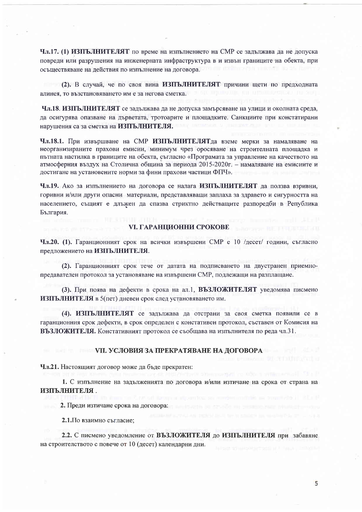Чл.17. (1) ИЗПЪЛНИТЕЛЯТ по време на изпълнението на СМР се задължава да не допуска повреди или разрушения на инженерната инфраструктура в и извън границите на обекта, при осъществяване на действия по изпълнение на договора.

(2). В случай, че по своя вина ИЗПЪЛНИТЕЛЯТ причини шети по предходната алинея, то възстановяването им е за негова сметка.

Чл.18. ИЗПЪЛНИТЕЛЯТ се задължава да не допуска замърсяване на улици и околната среда, да осигурява опазване на дърветата, тротоарите и площадките. Санкциите при констатирани нарушения са за сметка на ИЗПЪЛНИТЕЛЯ.

Чл.18.1. При извършване на СМР ИЗПЪЛНИТЕЛЯТда вземе мерки за намаляване на неорганизираните прахови емисии, минимум чрез оросяване на строителната площадка и пътната настилка в границите на обекта, съгласно «Програмата за управление на качеството на атмосферния въздух на Столична община за периода 2015-2020г. – намаляване на емисиите и достигане на установените норми за фини прахови частици ФПЧ».

Чл.19. Ако за изпълнението на договора се налага ИЗПЪЛНИТЕЛЯТ да ползва взривни, горивни и/или други опасни материали, представляващи заплаха за здравето и сигурността на населението, същият е длъжен да спазва стриктно действащите разпоредби в Република България.

#### **VI. ГАРАНЦИОННИ СРОКОВЕ**

Чл.20. (1). Гаранционният срок на всички извършени СМР е 10 /десет/ години, съгласно предложението на ИЗПЪЛНИТЕЛЯ.

(2). Гаранционният срок тече от датата на подписването на двустранен приемнопредавателен протокол за установяване на извършени СМР, подлежащи на разплащане.

(3). При поява на дефекти в срока на ал.1, ВЪЗЛОЖИТЕЛЯТ уведомява писмено ИЗПЪЛНИТЕЛЯ в 5(пет) дневен срок след установяването им.

(4). ИЗПЪЛНИТЕЛЯТ се задължава да отстрани за своя сметка появили се в гаранционния срок дефекти, в срок определен с констативен протокол, съставен от Комисия на ВЪЗЛОЖИТЕЛЯ. Констативният протокол се съобщава на изпълнителя по реда чл.31.

#### **VII. УСЛОВИЯ ЗА ПРЕКРАТЯВАНЕ НА ДОГОВОРА**

Чл.21. Настоящият договор може да бъде прекратен:

1. С изпълнение на задълженията по договора и/или изтичане на срока от страна на ИЗПЪЛНИТЕЛЯ.

2. Преди изтичане срока на договора:

2.1. По взаимно съгласие;

2.2. С писмено уведомление от ВЪЗЛОЖИТЕЛЯ до ИЗПЪЛНИТЕЛЯ при забавяне на строителството с повече от 10 (десет) календарни дни.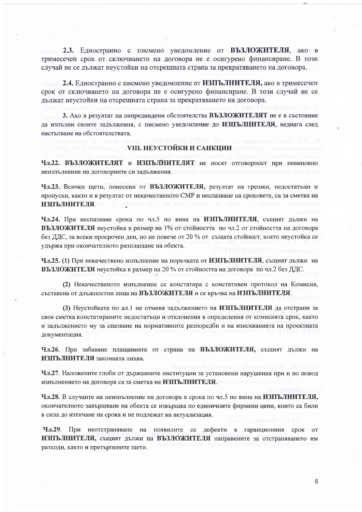2.3. Едностранно с писмено уведомление от ВЪЗЛОЖИТЕЛЯ, ако в тримесечен срок от сключването на договора не е осигурено финансиране. В този случай не се дължат неустойки на отсрещната страна за прекратяването на договора.

2.4. Едностранно с писмено уведомление от ИЗПЪЛНИТЕЛЯ, ако в тримесечен срок от сключването на договора не е осигурено финансиране. В този случай не се дължат неустойки на отсрещната страна за прекратяването на договора.

3. Ако в резултат на непредвидени обстоятелства ВЪЗЛОЖИТЕЛЯТ не е в състояние да изпълни своите задължения, с писмено уведомление до ИЗПЪЛНИТЕЛЯ, веднага след настъпване на обстоятелствата.

#### <u>VIII. НЕУСТОЙКИ И САНКЦИИ</u>

Чл.22. ВЪЗЛОЖИТЕЛЯТ и ИЗПЪЛНИТЕЛЯТ не носят отговорност при невиновно неизпълнение на договорните си задължения.

Чл.23. Всички щети, понесени от ВЪЗЛОЖИТЕЛЯ, резултат на грешки, недостатъци и пропуски, както и в резултат от некачественото СМР и неспазване на сроковете, са за сметка на ИЗПЪЛНИТЕЛЯ.

Чл.24. При неспазване срока по чл.5 по вина на ИЗПЪЛНИТЕЛЯ, същият дължи на ВЪЗЛОЖИТЕЛЯ неустойка в размер на 1% от стойността по чл.2 от стойността на договора без ДДС, за всеки просрочен ден, но не повече от 20 % от същата стойност, която неустойка се удържа при окончателното разплащане на обекта.

Чл.25. (1) При некачествено изпълнение на поръчката от ИЗПЪЛНИТЕЛЯ, същият дължи на ВЪЗЛОЖИТЕЛЯ неустойка в размер на 20 % от стойността на договора по чл.2 без ДДС.

(2) Некачественото изпълнение се констатира с констативен протокол на Комисия, съставена от длъжностни лица на ВЪЗЛОЖИТЕЛЯ и се връчва на ИЗПЪЛНИТЕЛЯ.

(3) Неустойката по ал.1 не отменя задължението на ИЗПЪЛНИТЕЛЯ да отстрани за своя сметка констатираните недостатьци и отклонения в определения от комисията срок, както и задължението му за спазване на нормативните разпоредби и на изискванията на проектната документация.

Чл.26. При забавяне плащанията от страна на ВЪЗЛОЖИТЕЛЯ, същият дължи на ИЗПЪЛНИТЕЛЯ законната лихва.

Чл.27. Наложените глоби от държавните институции за установени нарушения при и по повод изпълнението на договора са за сметка на ИЗПЪЛНИТЕЛЯ.

Чл.28. В случаите на неизпълнение на договора в срока по чл.5 по вина на ИЗПЪЛНИТЕЛЯ, окончателното завършване на обекта се извършва по единичните фирмени цени, които са били в сила до изтичане на срока и не подлежат на актуализация.

Чл.29. При неотстраняване на появилите се дефекти в гаранционния  $CDOK$ **OT** ИЗПЪЛНИТЕЛЯ, същият дължи на ВЪЗЛОЖИТЕЛЯ направените за отстраняването им разходи, както и претърпените щети.

6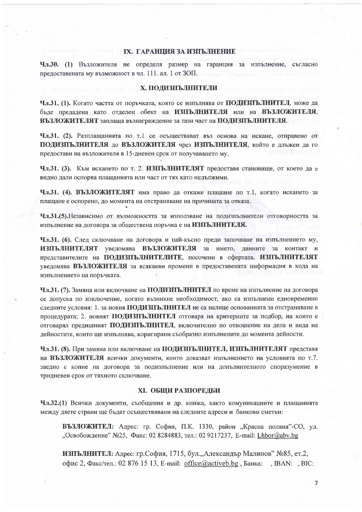#### **IX. ГАРАНИИЯ ЗА ИЗПЪЛНЕНИЕ**

Чл.30. (1) Възложителя не определя размер на гаранция за изпълнение, съгласно предоставената му възможност в чл. 111. ал. 1 от ЗОП. **Kattment** 

#### Х. ПОДИЗПЪЛНИТЕЛИ

Чл.31. (1). Когато частта от поръчката, която се изпълнява от ПОДИЗПЪЛНИТЕЛ, може да бъде предадена като отделен обект на ИЗПЪЛНИТЕЛЯ или на ВЪЗЛОЖИТЕЛЯ, ВЪЗЛОЖИТЕЛЯТ заплаща възнаграждение за тази част на ПОДИЗПЪЛНИТЕЛЯ.

Чл.31. (2). Разплащанията по т.1 се осъществяват въз основа на искане, отправено от ПОДИЗПЪЛНИТЕЛЯ до ВЪЗЛОЖИТЕЛЯ чрез ИЗПЪЛНИТЕЛЯ, който е длъжен да го предостави на възложителя в 15-дневен срок от получаването му.

Чл.31. (3). Към искането по т. 2. ИЗПЪЛНИТЕЛЯТ предоставя становище, от което да е видно дали оспорва плащанията или част от тях като недължими.

Чл.31. (4). ВЪЗЛОЖИТЕЛЯТ има право да откаже плащане по т.1, когато искането за плащане е оспорено, до момента на отстраняване на причината за отказа.

Чл.31.(5). Независимо от възможността за използване на подизпълнители отговорността за изпълнение на договора за обществена поръчка е на ИЗПЪЛНИТЕЛЯ.

Чл.31. (6). След сключване на договора и най-късно преди започване на изпълнението му, ИЗПЪЛНИТЕЛЯТ уведомява ВЪЗЛОЖИТЕЛЯ за името, данните за контакт и представителите на ПОДИЗПЪЛНИТЕЛИТЕ, посочени в офертата. ИЗПЪЛНИТЕЛЯТ увеломява ВЪЗЛОЖИТЕЛЯ за всякакви промени в предоставената информация в хода на изпълнението на поръчката.

Чл.31. (7). Замяна или включване на ПОДИЗПЪЛНИТЕЛ по време на изпълнение на договора се допуска по изключение, когато възникне необходимост, ако са изпълнени едновременно следните условия: 1. за новия ПОДИЗПЪЛНИТЕЛ не са налице основанията за отстраняване в процедурата; 2. новият ПОДИЗПЪЛНИТЕЛ отговаря на критериите за подбор, на които е отговарял предишният ПОДИЗПЪЛНИТЕЛ, включително по отношение на дела и вида на дейностите, които ще изпълнява, коригирани съобразно изпълнените до момента дейности.

Чл.31. (8). При замяна или включване на ПОДИЗПЪЛНИТЕЛ, ИЗПЪЛНИТЕЛЯТ представя на ВЪЗЛОЖИТЕЛЯ всички документи, които доказват изпълнението на условията по т.7. заедно с копие на договора за подизпълнение или на допълнителното споразумение в тридневен срок от тяхното сключване.

#### ХІ. ОБШИ РАЗПОРЕЛБИ

Чл.32.(1) Всички документи, съобщения и др. книжа, както комуникациите и плащанията между двете страни ще бъдат осъществявани на следните адреси и банкови сметки:

ВЪЗЛОЖИТЕЛ: Адрес: гр. София, П.К. 1330, район "Красна поляна"-СО, ул. "Освобождение" №25, Факс: 02 8284883, тел.: 02 9217237, E-mail: Lhbor@abv.bg

ИЗПЪЛНИТЕЛ: Адрес: гр.София, 1715, бул.,,Александър Малинов" №85, ет.2, офис 2, Факс/тел.: 02 876 15 13, E-mail: office@activeb.bg, Банка: , IBAN: , BIC:

 $\overline{7}$